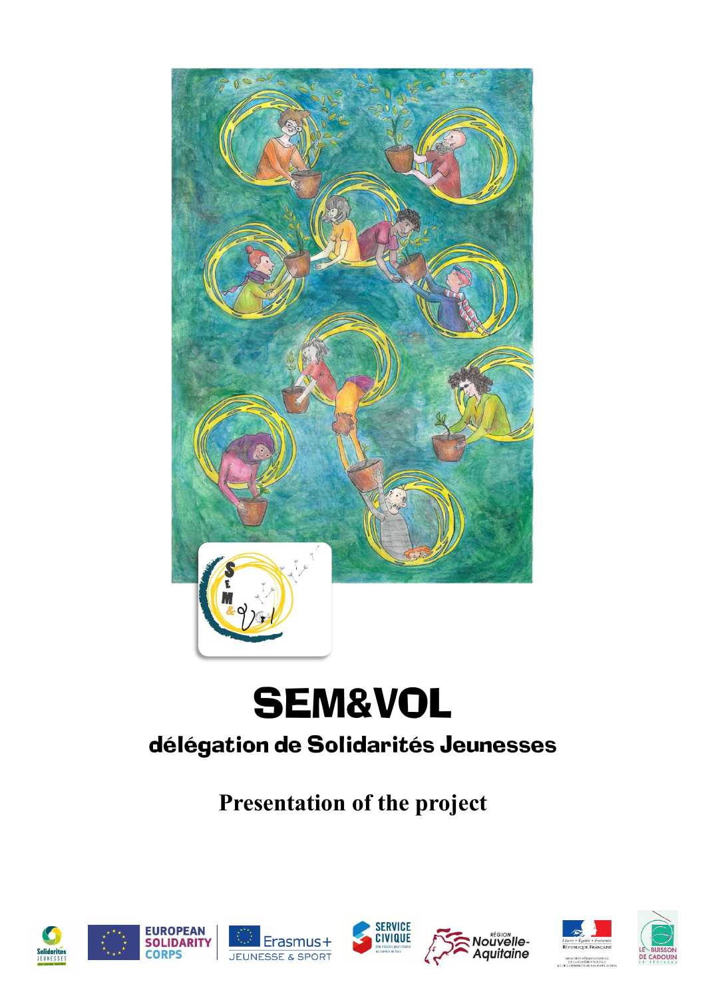

# SEM&VOL

### délégation de Solidarités Jeunesses

**Presentation of the project**













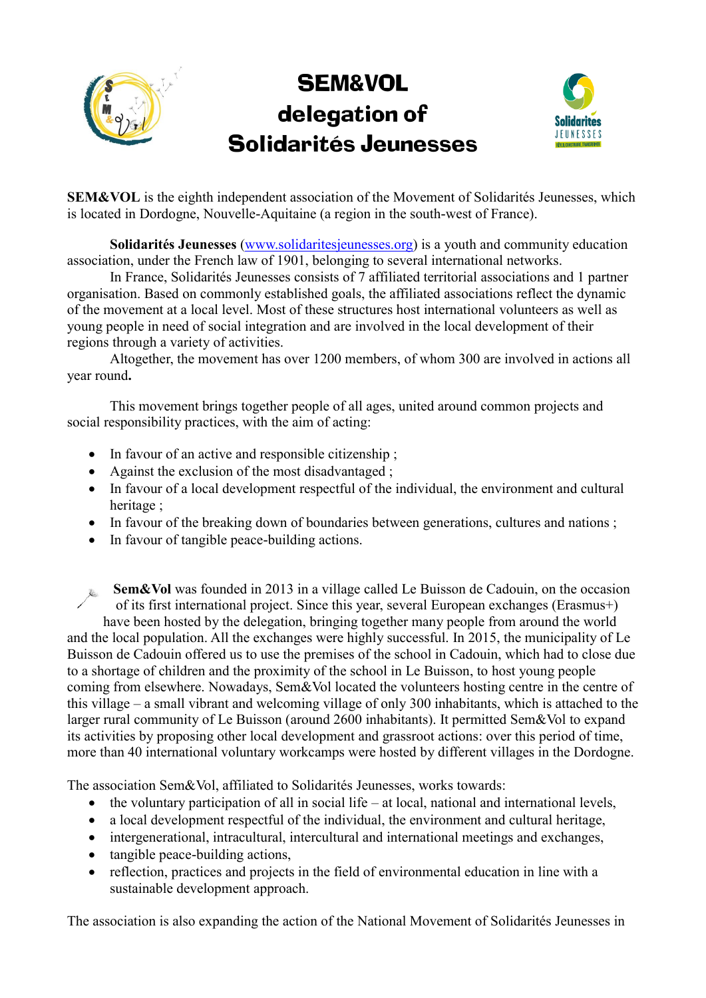## SEM&VOL delegation of Solidarités Jeunesses



**SEM&VOL** is the eighth independent association of the Movement of Solidarités Jeunesses, which is located in Dordogne, Nouvelle-Aquitaine (a region in the south-west of France).

**Solidarités Jeunesses** [\(www.solidaritesjeunesses.org\)](http://www.solidaritesjeunesses.org/) is a youth and community education association, under the French law of 1901, belonging to several international networks.

In France, Solidarités Jeunesses consists of 7 affiliated territorial associations and 1 partner organisation. Based on commonly established goals, the affiliated associations reflect the dynamic of the movement at a local level. Most of these structures host international volunteers as well as young people in need of social integration and are involved in the local development of their regions through a variety of activities.

Altogether, the movement has over 1200 members, of whom 300 are involved in actions all year round**.** 

This movement brings together people of all ages, united around common projects and social responsibility practices, with the aim of acting:

- In favour of an active and responsible citizenship ;
- Against the exclusion of the most disadvantaged ;
- In favour of a local development respectful of the individual, the environment and cultural heritage ;
- In favour of the breaking down of boundaries between generations, cultures and nations;
- In favour of tangible peace-building actions.

**Sem&Vol** was founded in 2013 in a village called Le Buisson de Cadouin, on the occasion of its first international project. Since this year, several European exchanges (Erasmus+) have been hosted by the delegation, bringing together many people from around the world and the local population. All the exchanges were highly successful. In 2015, the municipality of Le Buisson de Cadouin offered us to use the premises of the school in Cadouin, which had to close due to a shortage of children and the proximity of the school in Le Buisson, to host young people coming from elsewhere. Nowadays, Sem&Vol located the volunteers hosting centre in the centre of this village – a small vibrant and welcoming village of only 300 inhabitants, which is attached to the larger rural community of Le Buisson (around 2600 inhabitants). It permitted Sem&Vol to expand its activities by proposing other local development and grassroot actions: over this period of time, more than 40 international voluntary workcamps were hosted by different villages in the Dordogne.

The association Sem&Vol, affiliated to Solidarités Jeunesses, works towards:

- $\bullet$  the voluntary participation of all in social life at local, national and international levels,
- a local development respectful of the individual, the environment and cultural heritage,
- intergenerational, intracultural, intercultural and international meetings and exchanges,
- tangible peace-building actions,
- reflection, practices and projects in the field of environmental education in line with a sustainable development approach.

The association is also expanding the action of the National Movement of Solidarités Jeunesses in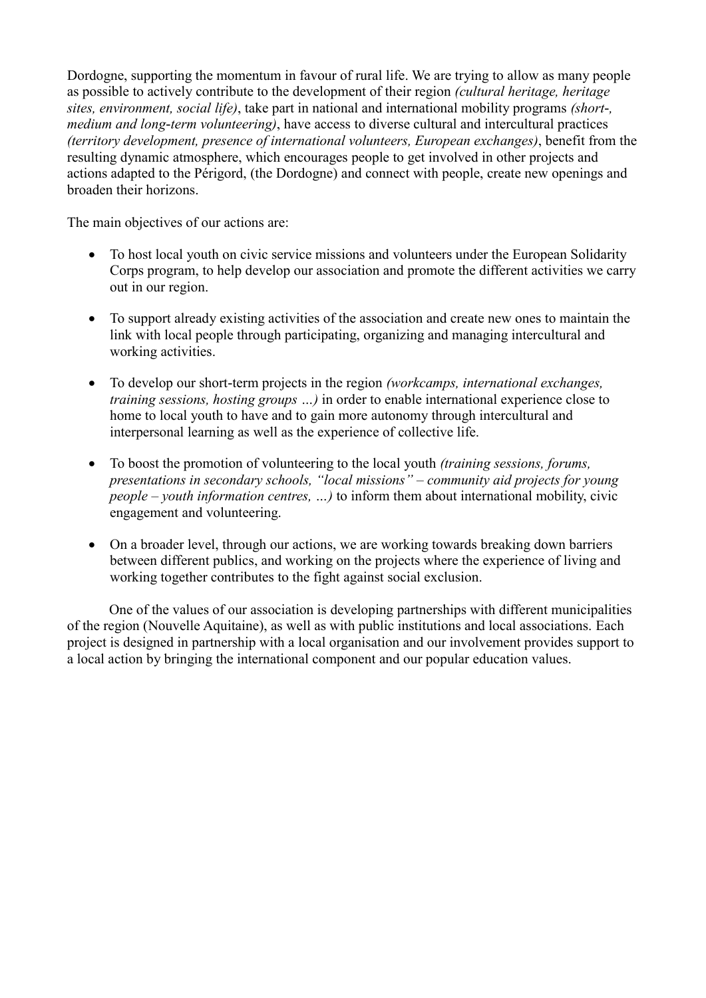Dordogne, supporting the momentum in favour of rural life. We are trying to allow as many people as possible to actively contribute to the development of their region *(cultural heritage, heritage sites, environment, social life)*, take part in national and international mobility programs *(short-, medium and long-term volunteering)*, have access to diverse cultural and intercultural practices *(territory development, presence of international volunteers, European exchanges)*, benefit from the resulting dynamic atmosphere, which encourages people to get involved in other projects and actions adapted to the Périgord, (the Dordogne) and connect with people, create new openings and broaden their horizons.

The main objectives of our actions are:

- To host local youth on civic service missions and volunteers under the European Solidarity Corps program, to help develop our association and promote the different activities we carry out in our region.
- To support already existing activities of the association and create new ones to maintain the link with local people through participating, organizing and managing intercultural and working activities.
- To develop our short-term projects in the region *(workcamps, international exchanges, training sessions, hosting groups …)* in order to enable international experience close to home to local youth to have and to gain more autonomy through intercultural and interpersonal learning as well as the experience of collective life.
- To boost the promotion of volunteering to the local youth *(training sessions, forums, presentations in secondary schools, "local missions" – community aid projects for young people – youth information centres, …)* to inform them about international mobility, civic engagement and volunteering.
- On a broader level, through our actions, we are working towards breaking down barriers between different publics, and working on the projects where the experience of living and working together contributes to the fight against social exclusion.

One of the values of our association is developing partnerships with different municipalities of the region (Nouvelle Aquitaine), as well as with public institutions and local associations. Each project is designed in partnership with a local organisation and our involvement provides support to a local action by bringing the international component and our popular education values.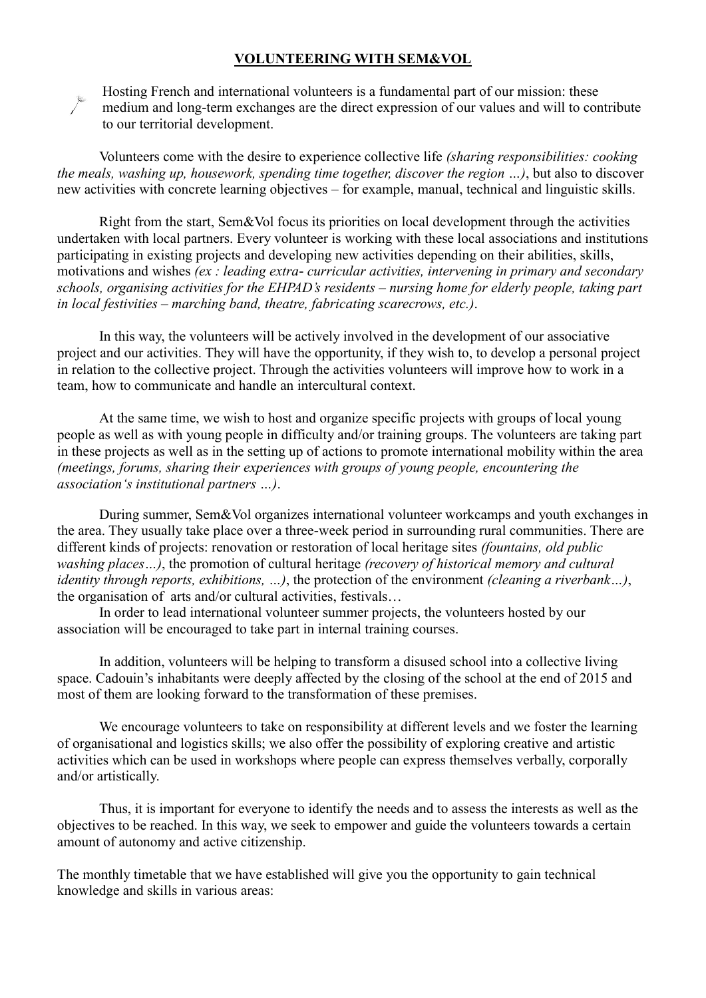#### **VOLUNTEERING WITH SEM&VOL**



Hosting French and international volunteers is a fundamental part of our mission: these medium and long-term exchanges are the direct expression of our values and will to contribute to our territorial development.

Volunteers come with the desire to experience collective life *(sharing responsibilities: cooking the meals, washing up, housework, spending time together, discover the region …)*, but also to discover new activities with concrete learning objectives – for example, manual, technical and linguistic skills.

Right from the start, Sem&Vol focus its priorities on local development through the activities undertaken with local partners. Every volunteer is working with these local associations and institutions participating in existing projects and developing new activities depending on their abilities, skills, motivations and wishes *(ex : leading extra- curricular activities, intervening in primary and secondary schools, organising activities for the EHPAD's residents – nursing home for elderly people, taking part in local festivities – marching band, theatre, fabricating scarecrows, etc.)*.

In this way, the volunteers will be actively involved in the development of our associative project and our activities. They will have the opportunity, if they wish to, to develop a personal project in relation to the collective project. Through the activities volunteers will improve how to work in a team, how to communicate and handle an intercultural context.

At the same time, we wish to host and organize specific projects with groups of local young people as well as with young people in difficulty and/or training groups. The volunteers are taking part in these projects as well as in the setting up of actions to promote international mobility within the area *(meetings, forums, sharing their experiences with groups of young people, encountering the association's institutional partners …)*.

During summer, Sem&Vol organizes international volunteer workcamps and youth exchanges in the area. They usually take place over a three-week period in surrounding rural communities. There are different kinds of projects: renovation or restoration of local heritage sites *(fountains, old public washing places…)*, the promotion of cultural heritage *(recovery of historical memory and cultural identity through reports, exhibitions, …)*, the protection of the environment *(cleaning a riverbank…)*, the organisation of arts and/or cultural activities, festivals…

In order to lead international volunteer summer projects, the volunteers hosted by our association will be encouraged to take part in internal training courses.

In addition, volunteers will be helping to transform a disused school into a collective living space. Cadouin's inhabitants were deeply affected by the closing of the school at the end of 2015 and most of them are looking forward to the transformation of these premises.

We encourage volunteers to take on responsibility at different levels and we foster the learning of organisational and logistics skills; we also offer the possibility of exploring creative and artistic activities which can be used in workshops where people can express themselves verbally, corporally and/or artistically.

Thus, it is important for everyone to identify the needs and to assess the interests as well as the objectives to be reached. In this way, we seek to empower and guide the volunteers towards a certain amount of autonomy and active citizenship.

The monthly timetable that we have established will give you the opportunity to gain technical knowledge and skills in various areas: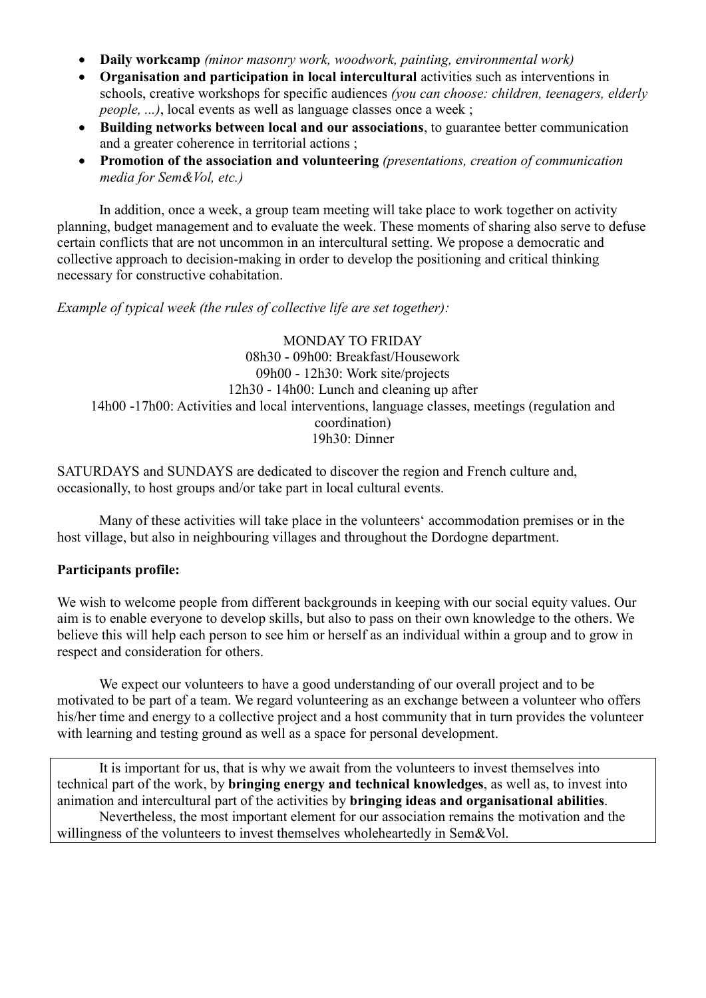- **Daily workcamp** *(minor masonry work, woodwork, painting, environmental work)*
- **Organisation and participation in local intercultural** activities such as interventions in schools, creative workshops for specific audiences *(you can choose: children, teenagers, elderly people, ...)*, local events as well as language classes once a week ;
- **Building networks between local and our associations**, to guarantee better communication and a greater coherence in territorial actions ;
- **Promotion of the association and volunteering** *(presentations, creation of communication media for Sem&Vol, etc.)*

In addition, once a week, a group team meeting will take place to work together on activity planning, budget management and to evaluate the week. These moments of sharing also serve to defuse certain conflicts that are not uncommon in an intercultural setting. We propose a democratic and collective approach to decision-making in order to develop the positioning and critical thinking necessary for constructive cohabitation.

*Example of typical week (the rules of collective life are set together):*

MONDAY TO FRIDAY 08h30 - 09h00: Breakfast/Housework 09h00 - 12h30: Work site/projects 12h30 - 14h00: Lunch and cleaning up after 14h00 -17h00: Activities and local interventions, language classes, meetings (regulation and coordination) 19h30: Dinner

SATURDAYS and SUNDAYS are dedicated to discover the region and French culture and, occasionally, to host groups and/or take part in local cultural events.

Many of these activities will take place in the volunteers' accommodation premises or in the host village, but also in neighbouring villages and throughout the Dordogne department.

#### **Participants profile:**

We wish to welcome people from different backgrounds in keeping with our social equity values. Our aim is to enable everyone to develop skills, but also to pass on their own knowledge to the others. We believe this will help each person to see him or herself as an individual within a group and to grow in respect and consideration for others.

We expect our volunteers to have a good understanding of our overall project and to be motivated to be part of a team. We regard volunteering as an exchange between a volunteer who offers his/her time and energy to a collective project and a host community that in turn provides the volunteer with learning and testing ground as well as a space for personal development.

It is important for us, that is why we await from the volunteers to invest themselves into technical part of the work, by **bringing energy and technical knowledges**, as well as, to invest into animation and intercultural part of the activities by **bringing ideas and organisational abilities**. Nevertheless, the most important element for our association remains the motivation and the willingness of the volunteers to invest themselves wholeheartedly in Sem&Vol.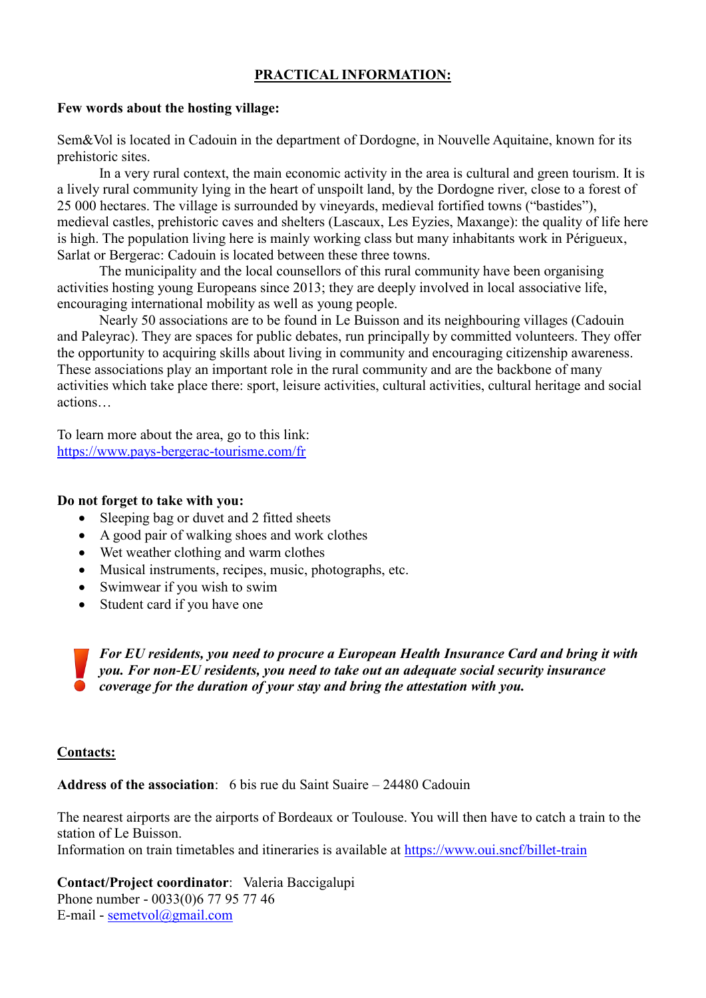#### **PRACTICAL INFORMATION:**

#### **Few words about the hosting village:**

Sem&Vol is located in Cadouin in the department of Dordogne, in Nouvelle Aquitaine, known for its prehistoric sites.

In a very rural context, the main economic activity in the area is cultural and green tourism. It is a lively rural community lying in the heart of unspoilt land, by the Dordogne river, close to a forest of 25 000 hectares. The village is surrounded by vineyards, medieval fortified towns ("bastides"), medieval castles, prehistoric caves and shelters (Lascaux, Les Eyzies, Maxange): the quality of life here is high. The population living here is mainly working class but many inhabitants work in Périgueux, Sarlat or Bergerac: Cadouin is located between these three towns.

The municipality and the local counsellors of this rural community have been organising activities hosting young Europeans since 2013; they are deeply involved in local associative life, encouraging international mobility as well as young people.

Nearly 50 associations are to be found in Le Buisson and its neighbouring villages (Cadouin and Paleyrac). They are spaces for public debates, run principally by committed volunteers. They offer the opportunity to acquiring skills about living in community and encouraging citizenship awareness. These associations play an important role in the rural community and are the backbone of many activities which take place there: sport, leisure activities, cultural activities, cultural heritage and social actions…

To learn more about the area, go to this link: <https://www.pays-bergerac-tourisme.com/fr>

#### **Do not forget to take with you:**

- Sleeping bag or duvet and 2 fitted sheets
- A good pair of walking shoes and work clothes
- Wet weather clothing and warm clothes
- Musical instruments, recipes, music, photographs, etc.
- Swimwear if you wish to swim
- Student card if you have one

*For EU residents, you need to procure a European Health Insurance Card and bring it with you. For non-EU residents, you need to take out an adequate social security insurance coverage for the duration of your stay and bring the attestation with you.*

#### **Contacts:**

**Address of the association**: 6 bis rue du Saint Suaire – 24480 Cadouin

The nearest airports are the airports of Bordeaux or Toulouse. You will then have to catch a train to the station of Le Buisson.

Information on train timetables and itineraries is available at<https://www.oui.sncf/billet-train>

**Contact/Project coordinator**: Valeria Baccigalupi Phone number - 0033(0)6 77 95 77 46 E-mail - [semetvol@gmail.com](mailto:semetvol@gmail.com)